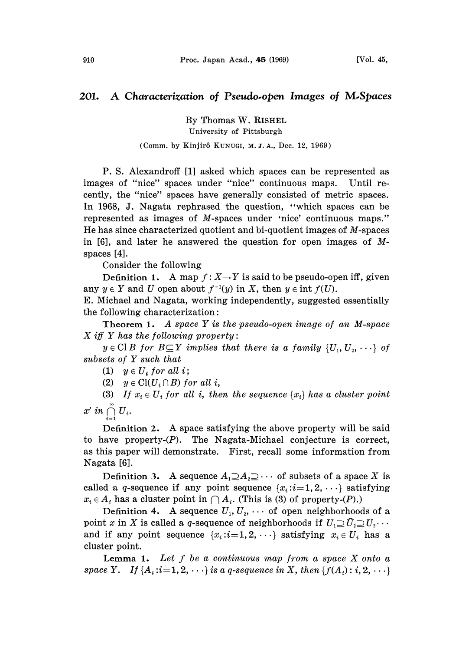## 201. A Characterization of Pseudo-open Images of M-Spaces

By Thomas W. RISHEL University of Pittsburgh

## (Comm. by Kinjirô KUNUGI, M.J.A., Dec. 12, 1969)

P. S. Alexandroff [1] asked which spaces can be represented as images of "nice" spaces under "nice" continuous maps. Until recently, the "nice" spaces have generally consisted of metric spaces. In 1968, J. Nagata rephrased the question, "which spaces can be represented as images of M-spaces under 'nice' continuous maps." He has since characterized quotient and bi-quotient images of M-spaces in [6], and later he answered the question for open images of Mspaces [4].

Consider the following

Definition 1. A map  $f: X \rightarrow Y$  is said to be pseudo-open iff, given any  $y \in Y$  and U open about  $f^{-1}(y)$  in X, then  $y \in \text{int } f(U)$ .

E. Michael and Nagata, working independently, suggested essentially the following characterization:

Theorem 1. A space  $Y$  is the pseudo-open image of an M-space  $X$  iff Y has the following property:

 $y \in \text{Cl } B$  for  $B \subseteq Y$  implies that there is a family  $\{U_1, U_2, \dots\}$  of subsets of Y such that

(1)  $y \in U_i$  for all i;

(2)  $y \in \text{Cl}(U_i \cap B)$  for all i,

(3) If  $x_i \in U_i$  for all i, then the sequence  $\{x_i\}$  has a cluster point  $x'$  in  $\bigcap_{i=1}^{\infty} U_i$ .

Definition 2. A space satisfying the above property will be said to have property- $(P)$ . The Nagata-Michael conjecture is correct, as this paper will demonstrate. First, recall some information from Nagata [6].

Definition 3. A sequence  $A_1 \supseteq A_2 \supseteq \cdots$  of subsets of a space X is called a q-sequence if any point sequence  $\{x_i : i = 1, 2, \dots\}$  satisfying  $x_i \in A_i$  has a cluster point in  $\bigcap A_i$ . (This is (3) of property-(P).)

Definition 4. A sequence  $U_1, U_2, \cdots$  of open neighborhoods of a point x in X is called a q-sequence of neighborhoods if  $U_1 \supseteq U_2 \supseteq U_2 \cdots$ and if any point sequence  $\{x_i : i = 1, 2, \cdots\}$  satisfying  $x_i \in U_i$  has a cluster point.

Lemma 1. Let  $f$  be a continuous map from a space  $X$  onto a space Y. If  $\{A_i : i = 1, 2, \dots\}$  is a q-sequence in X, then  $\{f(A_i) : i, 2, \dots\}$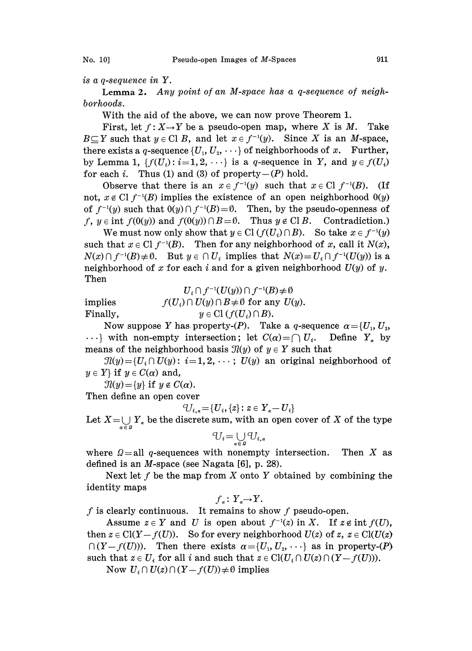is a q-sequence in Y.

Lemma 2. Any point of an M-space has a q-sequence of neighborhoods.

With the aid of the above, we can now prove Theorem 1.

First, let  $f: X \rightarrow Y$  be a pseudo-open map, where X is M. Take  $B \subseteq Y$  such that  $y \in \text{Cl } B$ , and let  $x \in f^{-1}(y)$ . Since X is an M-space, there exists a q-sequence  $\{U_1, U_2, \cdots\}$  of neighborhoods of x. Further, by Lemma 1,  $\{f(U_i): i=1,2,\cdots\}$  is a q-sequence in Y, and  $y \in f(U_i)$ for each i. Thus (1) and (3) of property- $(P)$  hold.

Observe that there is an  $x \in f^{-1}(y)$  such that  $x \in Cl$   $f^{-1}(B)$ . (If not,  $x \notin Cl(f^{-1}(B)$  implies the existence of an open neighborhood  $O(y)$ of  $f^{-1}(y)$  such that  $0(y) \cap f^{-1}(B) = \emptyset$ . Then, by the pseudo-openness of f,  $y \in \text{int } f(0(y))$  and  $f(0(y)) \cap B = \emptyset$ . Thus  $y \notin \text{Cl } B$ . Contradiction.)

We must now only show that  $y \in \text{Cl}(f(U_i) \cap B)$ . So take  $x \in f^{-1}(y)$ such that  $x \in Cl f^{-1}(B)$ . Then for any neighborhood of x, call it  $N(x)$ ,  $N(x) \cap f^{-1}(B) \neq \emptyset$ . But  $y \in \bigcap U_i$  implies that  $N(x) = U_i \cap f^{-1}(U(y))$  is a neighborhood of x for each i and for a given neighborhood  $U(y)$  of y. Then

$$
U_i \cap f^{-1}(U(y)) \cap f^{-1}(B) \neq \emptyset
$$
 implies  
\n
$$
f(U_i) \cap U(y) \cap B \neq \emptyset \text{ for any } U(y).
$$
  
\nFinally,  
\n
$$
y \in Cl(f(U_i) \cap B).
$$

Now suppose Y has property-(P). Take a q-sequence  $\alpha = \{U_1, U_2, \dots, U_n\}$  $\cdots$ } with non-empty intersection; let  $C(\alpha) = \bigcap U_i$ . Define  $Y_{\alpha}$  by means of the neighborhood basis  $\mathcal{I}(y)$  of  $y \in Y$  such that

 $\mathcal{I}(y) = \{U_i \cap U(y): i = 1, 2, \dots; U(y) \text{ an original neighborhood of }$  $y \in Y$  if  $y \in C(\alpha)$  and,

 $\mathcal{I}(y) = \{y\}$  if  $y \notin C(\alpha)$ .

Then define an open cover

$$
^{\circ }\!U_{i,\alpha }\!=\!\{U_{i},\{z\}\colon z\in Y_{\alpha }\!-U_{i}\}
$$

Let  $X = \bigcup_{a \in \mathcal{Q}} Y_a$  be the discrete sum, with an open cover of X of the type

$$
U_i\mathop{=}\bigcup_{\alpha\in\varOmega}U_{i,\alpha}
$$

where  $\Omega =$ all q-sequences with nonempty intersection. Then X as defined is an M-space (see Nagata [6], p. 28).

Next let  $f$  be the map from  $X$  onto  $Y$  obtained by combining the identity maps

$$
f_{\alpha} \colon Y_{\alpha} {\rightarrow} Y.
$$

f is clearly continuous. It remains to show f pseudo-open.

Assume  $z \in Y$  and U is open about  $f^{-1}(z)$  in X. If  $z \notin \text{int } f(U)$ , then  $z \in \text{Cl}(Y-f(U))$ . So for every neighborhood  $U(z)$  of  $z, z \in \text{Cl}(U(z))$  $\bigcap (Y - f(U))$ . Then there exists  $\alpha = \{U_1, U_2, \dots\}$  as in property-(P) such that  $z \in U_i$  for all i and such that  $z \in \mathrm{Cl}(U_i \cap U(z) \cap (Y-f(U))).$ 

Now  $U_i \cap U(z) \cap (Y - f(U)) \neq \emptyset$  implies